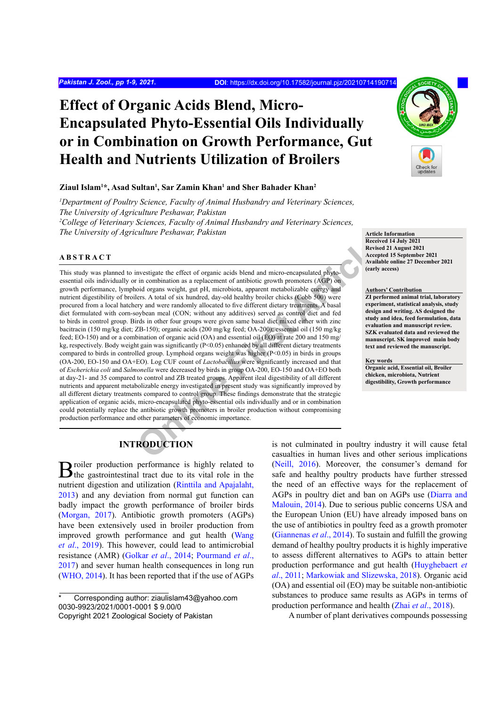# **Effect of Organic Acids Blend, Micro-Encapsulated Phyto-Essential Oils Individually or in Combination on Growth Performance, Gut Health and Nutrients Utilization of Broilers**

# **Ziaul Islam1 \*, Asad Sultan1 , Sar Zamin Khan1 and Sher Bahader Khan2**

*1 Department of Poultry Science, Faculty of Animal Husbandry and Veterinary Sciences, The University of Agriculture Peshawar, Pakistan 2 College of Veterinary Sciences, Faculty of Animal Husbandry and Veterinary Sciences, The University of Agriculture Peshawar, Pakistan* **Article Information Article Information** 

# **ABSTRACT**

**Online First Article** This study was planned to investigate the effect of organic acids blend and micro-encapsulated phytoessential oils individually or in combination as a replacement of antibiotic growth promoters (AGP) on growth performance, lymphoid organs weight, gut pH, microbiota, apparent metabolizable energy and nutrient digestibility of broilers. A total of six hundred, day-old healthy broiler chicks (Cobb 500) were procured from a local hatchery and were randomly allocated to five different dietary treatments. A basal diet formulated with corn-soybean meal (CON; without any additives) served as control diet and fed to birds in control group. Birds in other four groups were given same basal diet mixed either with zinc bacitracin (150 mg/kg diet; ZB-150); organic acids (200 mg/kg feed; OA-200); essential oil (150 mg/kg feed; EO-150) and or a combination of organic acid (OA) and essential oil (EO) at rate 200 and 150 mg/ kg, respectively. Body weight gain was significantly ( $P<0.05$ ) enhanced by all different dietary treatments compared to birds in controlled group. Lymphoid organs weight was higher (P<0.05) in birds in groups (OA-200, EO-150 and OA+EO). Log CUF count of *Lactobacillus* were significantly increased and that of *Escherichia coli* and *Salmonella* were decreased by birds in group OA-200, EO-150 and OA+EO both at day-21- and 35 compared to control and ZB treated groups. Apparent ileal digestibility of all different nutrients and apparent metabolizable energy investigated in present study was significantly improved by all different dietary treatments compared to control group. These findings demonstrate that the strategic application of organic acids, micro-encapsulated phyto-essential oils individually and or in combination could potentially replace the antibiotic growth promoters in broiler production without compromising production performance and other parameters of economic importance.



**Received 14 July 2021 Revised 21 August 2021 Accepted 15 September 2021 Available online 27 December 2021 (early access)**

#### **Authors' Contribution**

**ZI performed animal trial, laboratory experiment, statistical analysis, study design and writing. AS designed the study and idea, feed formulation, data evaluation and manuscript review. SZK evaluated data and reviewed the manuscript. SK improved main body text and reviewed the manuscript.**

#### **Key words**

**Organic acid, Essential oil, Broiler chicken, microbiota, Nutrient digestibility, Growth performance**

# **INTRODUCTION**

Broiler production performance is highly related to the gastrointestinal tract due to its vital role in the nutrient digestion and utilization ([Rinttila and Apajalaht,](#page-7-0) [2013\)](#page-7-0) and any deviation from normal gut function can badly impact the growth performance of broiler birds [\(Morgan, 2017](#page-7-1)). Antibiotic growth promoters (AGPs) have been extensively used in broiler production from improved growth performance and gut health [\(Wang](#page-8-0) *et al*[., 2019\)](#page-8-0). This however, could lead to antimicrobial resistance (AMR) [\(Golkar](#page-7-2) *et al*., 2014; [Pourmand](#page-7-3) *et al*., [2017\)](#page-7-3) and sever human health consequences in long run [\(WHO, 2014\)](#page-8-1). It has been reported that if the use of AGPs

is not culminated in poultry industry it will cause fetal casualties in human lives and other serious implications [\(Neill, 2016](#page-7-4)). Moreover, the consumer's demand for safe and healthy poultry products have further stressed the need of an effective ways for the replacement of AGPs in poultry diet and ban on AGPs use ([Diarra and](#page-6-0) [Malouin, 2014](#page-6-0)). Due to serious public concerns USA and the European Union (EU) have already imposed bans on the use of antibiotics in poultry feed as a growth promoter [\(Giannenas](#page-6-1) *et al*., 2014). To sustain and fulfill the growing demand of healthy poultry products it is highly imperative to assess different alternatives to AGPs to attain better production performance and gut health [\(Huyghebaert](#page-7-5) *et al*[., 2011](#page-7-5); [Markowiak and Slizewska, 2018](#page-7-6)). Organic acid (OA) and essential oil (EO) may be suitable non-antibiotic substances to produce same results as AGPs in terms of production performance and health (Zhai *et al*[., 2018\)](#page-8-2).

A number of plant derivatives compounds possessing

Corresponding author: ziaulislam43@yahoo.com 0030-9923/2021/0001-0001 \$ 9.00/0 Copyright 2021 Zoological Society of Pakistan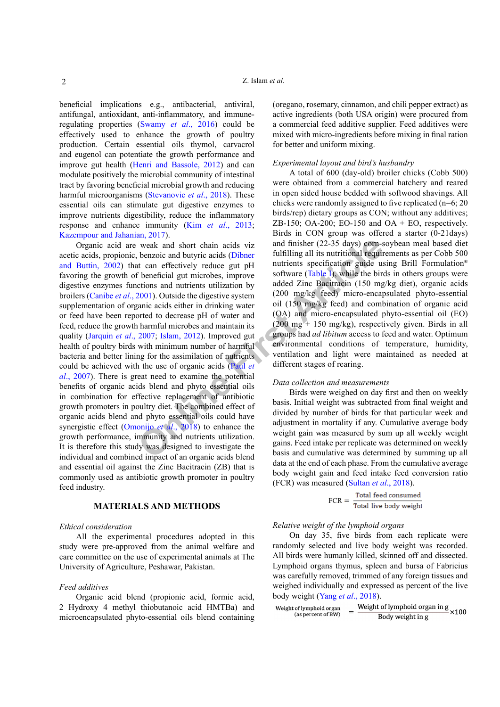beneficial implications e.g., antibacterial, antiviral, antifungal, antioxidant, anti-inflammatory, and immuneregulating properties [\(Swamy](#page-8-3) *et al*., 2016) could be effectively used to enhance the growth of poultry production. Certain essential oils thymol, carvacrol and eugenol can potentiate the growth performance and improve gut health [\(Henri and Bassole, 2012](#page-7-7)) and can modulate positively the microbial community of intestinal tract by favoring beneficial microbial growth and reducing harmful microorganisms [\(Stevanovic](#page-8-4) *et al*., 2018). These essential oils can stimulate gut digestive enzymes to improve nutrients digestibility, reduce the inflammatory response and enhance immunity (Kim *et al*[., 2013](#page-7-8); [Kazempour and Jahanian, 2017\)](#page-7-9).

weak and short chain acids viz<br>
weak and short chain acids (Dibner<br>
thenzoic and butyric acids (Dibner<br>
the fulfilling all its nutri[ti](#page-2-0)onal requirements<br>
to form the bird of the bird of the streeting and mutriculate that<br> Organic acid are weak and short chain acids viz acetic acids, propionic, benzoic and butyric acids (Dibner [and Buttin, 2002\)](#page-6-2) that can effectively reduce gut pH favoring the growth of beneficial gut microbes, improve digestive enzymes functions and nutrients utilization by broilers ([Canibe](#page-6-3) *et al*., 2001). Outside the digestive system supplementation of organic acids either in drinking water or feed have been reported to decrease pH of water and feed, reduce the growth harmful microbes and maintain its quality [\(Jarquin](#page-7-10) *et al*., 2007; Islam, 2012). Improved gut health of poultry birds with minimum number of harmful bacteria and better lining for the assimilation of nutrients could be achieved with the use of organic acids (Paul *et al*[., 2007\)](#page-7-12). There is great need to examine the potential benefits of organic acids blend and phyto essential oils in combination for effective replacement of antibiotic growth promoters in poultry diet. The combined effect of organic acids blend and phyto essential oils could have synergistic effect (Omonijo *et al*., 2018) to enhance the growth performance, immunity and nutrients utilization. It is therefore this study was designed to investigate the individual and combined impact of an organic acids blend and essential oil against the Zinc Bacitracin (ZB) that is commonly used as antibiotic growth promoter in poultry feed industry.

# **MATERIALS AND METHODS**

### *Ethical consideration*

All the experimental procedures adopted in this study were pre-approved from the animal welfare and care committee on the use of experimental animals at The University of Agriculture, Peshawar, Pakistan.

# *Feed additives*

Organic acid blend (propionic acid, formic acid, 2 Hydroxy 4 methyl thiobutanoic acid HMTBa) and microencapsulated phyto-essential oils blend containing (oregano, rosemary, cinnamon, and chili pepper extract) as active ingredients (both USA origin) were procured from a commercial feed additive supplier. Feed additives were mixed with micro-ingredients before mixing in final ration for better and uniform mixing.

# *Experimental layout and bird's husbandry*

A total of 600 (day-old) broiler chicks (Cobb 500) were obtained from a commercial hatchery and reared in open sided house bedded with softwood shavings. All chicks were randomly assigned to five replicated (n=6; 20 birds/rep) dietary groups as CON; without any additives; ZB-150; OA-200; EO-150 and OA + EO, respectively. Birds in CON group was offered a starter (0-21days) and finisher (22-35 days) corn-soybean meal based diet fulfilling all its nutritional requirements as per Cobb 500 nutrients specification guide using Brill Formulation® software (Table I), while the birds in others groups were added Zinc Bacitracin (150 mg/kg diet), organic acids (200 mg/kg feed) micro-encapsulated phyto-essential oil (150 mg/kg feed) and combination of organic acid (OA) and micro-encapsulated phyto-essential oil (EO)  $(200 \text{ mg} + 150 \text{ mg/kg})$ , respectively given. Birds in all groups had *ad libitum* access to feed and water. Optimum environmental conditions of temperature, humidity, ventilation and light were maintained as needed at different stages of rearing.

# *Data collection and measurements*

Birds were weighed on day first and then on weekly basis. Initial weight was subtracted from final weight and divided by number of birds for that particular week and adjustment in mortality if any. Cumulative average body weight gain was measured by sum up all weekly weight gains. Feed intake per replicate was determined on weekly basis and cumulative was determined by summing up all data at the end of each phase. From the cumulative average body weight gain and feed intake feed conversion ratio (FCR) was measured [\(Sultan](#page-8-5) *et al*., 2018).

$$
FCR = \frac{Total feed consumed}{Total live body weight}
$$

# *Relative weight of the lymphoid organs*

On day 35, five birds from each replicate were randomly selected and live body weight was recorded. All birds were humanly killed, skinned off and dissected. Lymphoid organs thymus, spleen and bursa of Fabricius was carefully removed, trimmed of any foreign tissues and weighed individually and expressed as percent of the live body weight (Yang *et al*[., 2018\)](#page-8-6).

| Weight of lymphoid organ | Weight of lymphoid organ in g | $\times$ 100 |
|--------------------------|-------------------------------|--------------|
| (as percent of BW)       | Body weight in g              |              |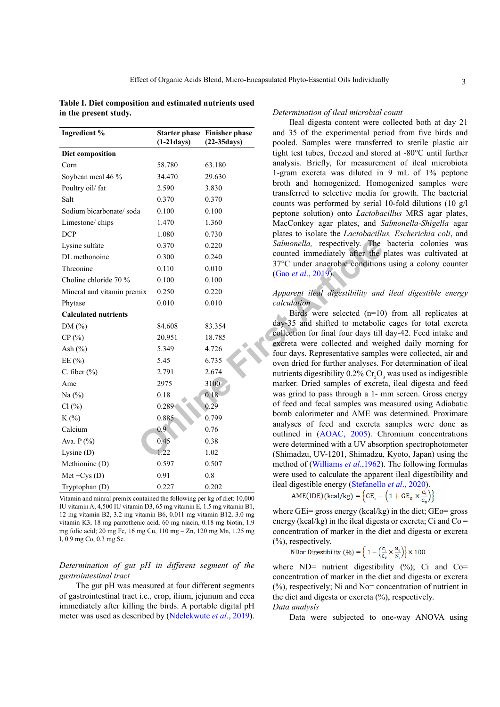<span id="page-2-0"></span>**Table I. Diet composition and estimated nutrients used in the present study.**

| Ingredient %                | $(1-21$ days)    | <b>Starter phase Finisher phase</b><br>$(22-35 days)$ | and 35 of the experimental per<br>pooled. Samples were transferr    |
|-----------------------------|------------------|-------------------------------------------------------|---------------------------------------------------------------------|
| Diet composition            |                  |                                                       | tight test tubes, freezed and stor                                  |
| Corn                        | 58.780           | 63.180                                                | analysis. Briefly, for measurem                                     |
| Soybean meal 46 %           | 34.470           | 29.630                                                | 1-gram excreta was diluted in                                       |
| Poultry oil/ fat            | 2.590            | 3.830                                                 | broth and homogenized. Home                                         |
| Salt                        | 0.370            | 0.370                                                 | transferred to selective media fo<br>counts was performed by serial |
| Sodium bicarbonate/soda     | 0.100            | 0.100                                                 | peptone solution) onto Lactoba                                      |
| Limestone/chips             | 1.470            | 1.360                                                 | MacConkey agar plates, and S                                        |
| <b>DCP</b>                  | 1.080            | 0.730                                                 | plates to isolate the Lactobacilli                                  |
| Lysine sulfate              | 0.370            | 0.220                                                 | Salmonella, respectively. The                                       |
| DL methonoine               | 0.300            | 0.240                                                 | counted immediately after the                                       |
| Threonine                   | 0.110            | 0.010                                                 | 37°C under anaerobic conditions                                     |
| Choline chloride 70 %       | 0.100            | 0.100                                                 | (Gao et al., 2019).                                                 |
| Mineral and vitamin premix  | 0.250            | 0.220                                                 | Apparent ileal digestibility and                                    |
| Phytase                     | 0.010            | 0.010                                                 | calculation                                                         |
| <b>Calculated nutrients</b> |                  |                                                       | Birds were selected $(n=10)$                                        |
| DM(%)                       | 84.608           | 83.354                                                | day-35 and shifted to metabolic                                     |
| CP(%)                       | 20.951           | 18.785                                                | collection for final four days till                                 |
| Ash $(\%)$                  | 5.349            | 4.726                                                 | excreta were collected and wei<br>four days. Representative sample  |
| EE $(\% )$                  | 5.45             | 6.735                                                 | oven dried for further analyses. F                                  |
| C. fiber $(\% )$            | 2.791            | 2.674                                                 | nutrients digestibility 0.2% Cr <sub>2</sub> O <sub>3</sub>         |
| Ame                         | 2975             | 3100                                                  | marker. Dried samples of excret                                     |
| Na $(%)$                    | 0.18             | 0.18                                                  | was grind to pass through a 1- n                                    |
| Cl(%)                       | 0.289            | 0.29                                                  | of feed and fecal samples was m                                     |
| $K(\%)$                     | 0.885            | 0.799                                                 | bomb calorimeter and AME wa                                         |
| Calcium                     | 0.9 <sub>2</sub> | 0.76                                                  | analyses of feed and excreta<br>outlined in (AOAC, 2005). Cl        |
| Ava. P (%)                  | 0.45             | 0.38                                                  | were determined with a UV absor                                     |
| Lysine $(D)$                | 1.22             | 1.02                                                  | (Shimadzu, UV-1201, Shimadzu,                                       |
| Methionine (D)              | 0.597            | 0.507                                                 | method of (Williams et al., 1962)                                   |
| $Met + Cys (D)$             | 0.91             | $0.8\,$                                               | were used to calculate the appare                                   |
| Tryptophan (D)              | 0.227            | 0.202                                                 | ileal digestible energy (Stefanello<br>$\frac{1}{2}$                |
|                             |                  |                                                       |                                                                     |

Vitamin and minral premix contained the following per kg of diet: 10,000 IU vitamin A, 4,500 IU vitamin D3, 65 mg vitamin E, 1.5 mg vitamin B1, 12 mg vitamin B2, 3.2 mg vitamin B6, 0.011 mg vitamin B12, 3.0 mg vitamin K3, 18 mg pantothenic acid, 60 mg niacin, 0.18 mg biotin, 1.9 mg folic acid; 20 mg Fe, 16 mg Cu, 110 mg – Zn, 120 mg Mn, 1.25 mg I, 0.9 mg Co, 0.3 mg Se.

# *Determination of gut pH in different segment of the gastrointestinal tract*

The gut pH was measured at four different segments of gastrointestinal tract i.e., crop, ilium, jejunum and ceca immediately after killing the birds. A portable digital pH meter was used as described by ([Ndelekwute](#page-7-14) *et al*., 2019).

#### *Determination of ileal microbial count*

Ileal digesta content were collected both at day 21 and 35 of the experimental period from five birds and pooled. Samples were transferred to sterile plastic air tight test tubes, freezed and stored at -80°C until further analysis. Briefly, for measurement of ileal microbiota 1-gram excreta was diluted in 9 mL of 1% peptone broth and homogenized. Homogenized samples were transferred to selective media for growth. The bacterial counts was performed by serial 10-fold dilutions (10 g/l peptone solution) onto *Lactobacillus* MRS agar plates, MacConkey agar plates, and *Salmonella-Shigella* agar plates to isolate the *Lactobacillus, Escherichia coli*, and *Salmonella,* respectively. The bacteria colonies was counted immediately after the plates was cultivated at 37°C under anaerobic conditions using a colony counter (Gao *et al*., 2019).

# *Apparent ileal digestibility and ileal digestible energy calculation*

Birds were selected (n=10) from all replicates at day-35 and shifted to metabolic cages for total excreta collection for final four days till day-42. Feed intake and excreta were collected and weighed daily morning for four days. Representative samples were collected, air and oven dried for further analyses. For determination of ileal nutrients digestibility  $0.2\%$  Cr<sub>2</sub>O<sub>3</sub> was used as indigestible marker. Dried samples of excreta, ileal digesta and feed was grind to pass through a 1- mm screen. Gross energy of feed and fecal samples was measured using Adiabatic bomb calorimeter and AME was determined. Proximate analyses of feed and excreta samples were done as outlined in (AOAC, 2005). Chromium concentrations were determined with a UV absorption spectrophotometer (Shimadzu, UV-1201, Shimadzu, Kyoto, Japan) using the method of ([Williams](#page-8-7) *et al*.,1962). The following formulas were used to calculate the apparent ileal digestibility and ileal digestible energy ([Stefanello](#page-8-8) *et al*., 2020).

$$
AME(IDE)(kcal/kg) = \left\{ GE_{i} - \left(1 + GE_{0} \times \frac{c_{i}}{c_{o}}\right)\right\}
$$

where  $GE =$  gross energy (kcal/kg) in the diet;  $GE =$  gross energy (kcal/kg) in the ileal digesta or excreta; Ci and  $Co =$ concentration of marker in the diet and digesta or excreta (%), respectively.

NDor Digestibility (%) = 
$$
\left\{ 1 - \left( \frac{C_i}{C_o} \times \frac{N_0}{N_i} \right) \right\} \times 100
$$

where  $ND=$  nutrient digestibility  $(\%)$ ; Ci and Co= concentration of marker in the diet and digesta or excreta (%), respectively; Ni and No= concentration of nutrient in the diet and digesta or excreta  $(\% )$ , respectively.

# *Data analysis*

Data were subjected to one-way ANOVA using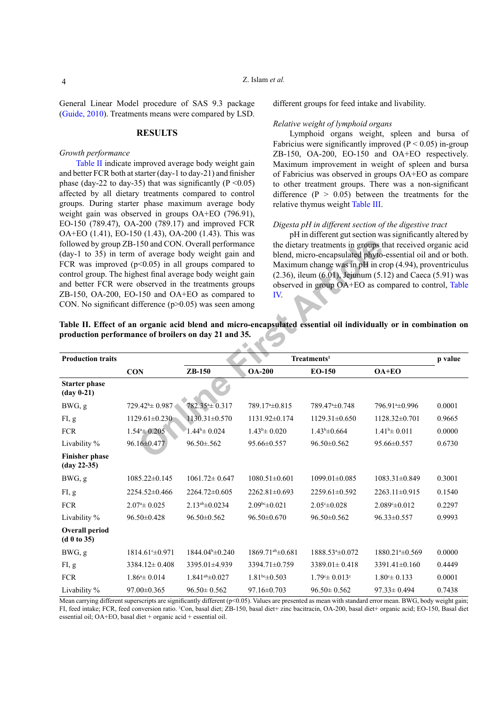4

# Z. Islam *et al.*

General Linear Model procedure of SAS 9.3 package [\(Guide, 2010](#page-7-15)). Treatments means were compared by LSD.

# **RESULTS**

# *Growth performance*

[Table II](#page-3-0) indicate improved average body weight gain and better FCR both at starter (day-1 to day-21) and finisher phase (day-22 to day-35) that was significantly ( $P \le 0.05$ ) affected by all dietary treatments compared to control groups. During starter phase maximum average body weight gain was observed in groups OA+EO (796.91), EO-150 (789.47), OA-200 (789.17) and improved FCR OA+EO (1.41), EO-150 (1.43), OA-200 (1.43). This was followed by group ZB-150 and CON. Overall performance (day-1 to 35) in term of average body weight gain and FCR was improved  $(p<0.05)$  in all groups compared to control group. The highest final average body weight gain and better FCR were observed in the treatments groups ZB-150, OA-200, EO-150 and OA+EO as compared to CON. No significant difference  $(p>0.05)$  was seen among different groups for feed intake and livability.

#### *Relative weight of lymphoid organs*

Lymphoid organs weight, spleen and bursa of Fabricius were significantly improved ( $P < 0.05$ ) in-group ZB-150, OA-200, EO-150 and OA+EO respectively. Maximum improvement in weight of spleen and bursa of Fabricius was observed in groups OA+EO as compare to other treatment groups. There was a non-significant difference  $(P > 0.05)$  between the treatments for the relative thymus weight [Table III.](#page-4-0)

# *Digesta pH in different section of the digestive tract*

pH in different gut section was significantly altered by the dietary treatments in groups that received organic acid blend, micro-encapsulated phyto-essential oil and or both. Maximum change was in pH in crop (4.94), proventriculus (2.36), ileum (6.01), Jejunum (5.12) and Caeca (5.91) was observed in group OA+EO as compared to control, [Table](#page-4-1)  IV.

<span id="page-3-0"></span>

| followed by group ZB-150 and CON. Overall performance<br>(day-1 to 35) in term of average body weight gain and<br>FCR was improved ( $p<0.05$ ) in all groups compared to<br>control group. The highest final average body weight gain<br>and better FCR were observed in the treatments groups<br>ZB-150, OA-200, EO-150 and OA+EO as compared to<br>CON. No significant difference $(p>0.05)$ was seen among<br>Table II. Effect of an organic acid blend and micro-encapsulated essential oil individually or in combination or<br>production performance of broilers on day 21 and 35. |                            |                        | IV.                          |                                  | the dietary treatments in groups that received organic acid<br>blend, micro-encapsulated phyto-essential oil and or both<br>Maximum change was in pH in crop (4.94), proventriculus<br>$(2.36)$ , ileum $(6.01)$ , Jejunum $(5.12)$ and Caeca $(5.91)$ was<br>observed in group OA+EO as compared to control, Table |         |
|--------------------------------------------------------------------------------------------------------------------------------------------------------------------------------------------------------------------------------------------------------------------------------------------------------------------------------------------------------------------------------------------------------------------------------------------------------------------------------------------------------------------------------------------------------------------------------------------|----------------------------|------------------------|------------------------------|----------------------------------|---------------------------------------------------------------------------------------------------------------------------------------------------------------------------------------------------------------------------------------------------------------------------------------------------------------------|---------|
| <b>Production traits</b>                                                                                                                                                                                                                                                                                                                                                                                                                                                                                                                                                                   |                            |                        |                              | Treatments <sup>1</sup>          |                                                                                                                                                                                                                                                                                                                     | p value |
|                                                                                                                                                                                                                                                                                                                                                                                                                                                                                                                                                                                            | <b>CON</b>                 | ZB-150                 | <b>OA-200</b>                | EO-150                           | OA+EO                                                                                                                                                                                                                                                                                                               |         |
| <b>Starter phase</b><br>$(\text{day } 0-21)$                                                                                                                                                                                                                                                                                                                                                                                                                                                                                                                                               |                            |                        |                              |                                  |                                                                                                                                                                                                                                                                                                                     |         |
| BWG, g                                                                                                                                                                                                                                                                                                                                                                                                                                                                                                                                                                                     | $729.42^{\circ} \pm 0.987$ | 782.35 ± 0.317         | 789.17 <sup>a</sup> ±0.815   | 789.47 <sup>a</sup> ±0.748       | 796.91 <sup>a</sup> ±0.996                                                                                                                                                                                                                                                                                          | 0.0001  |
| FI, g                                                                                                                                                                                                                                                                                                                                                                                                                                                                                                                                                                                      | $1129.61 \pm 0.230$        | $1130.31 \pm 0.570$    | $1131.92 \pm 0.174$          | $1129.31 \pm 0.650$              | $1128.32\pm0.701$                                                                                                                                                                                                                                                                                                   | 0.9665  |
| <b>FCR</b>                                                                                                                                                                                                                                                                                                                                                                                                                                                                                                                                                                                 | $1.544 \pm 0.205$          | $1.44^b \pm 0.024$     | $1.43^{\circ} \pm 0.020$     | $1.43^{\rm b}\pm 0.664$          | $1.41^{\rm b} \pm 0.011$                                                                                                                                                                                                                                                                                            | 0.0000  |
| Livability %                                                                                                                                                                                                                                                                                                                                                                                                                                                                                                                                                                               | 96.16±0.477                | $96.50 \pm 0.562$      | 95.66±0.557                  | 96.50±0.562                      | 95.66±0.557                                                                                                                                                                                                                                                                                                         | 0.6730  |
| <b>Finisher phase</b><br>$(\text{day } 22 - 35)$                                                                                                                                                                                                                                                                                                                                                                                                                                                                                                                                           |                            |                        |                              |                                  |                                                                                                                                                                                                                                                                                                                     |         |
| BWG, g                                                                                                                                                                                                                                                                                                                                                                                                                                                                                                                                                                                     | 1085.22±0.145              | $1061.72 \pm 0.647$    | $1080.51 \pm 0.601$          | 1099.01±0.085                    | $1083.31 \pm 0.849$                                                                                                                                                                                                                                                                                                 | 0.3001  |
| FI, g                                                                                                                                                                                                                                                                                                                                                                                                                                                                                                                                                                                      | 2254.52±0.466              | $2264.72 \pm 0.605$    | 2262.81±0.693                | 2259.61±0.592                    | $2263.11 \pm 0.915$                                                                                                                                                                                                                                                                                                 | 0.1540  |
| ${\rm FCR}$                                                                                                                                                                                                                                                                                                                                                                                                                                                                                                                                                                                | $2.074 \pm 0.025$          | $2.13^{ab} \pm 0.0234$ | $2.09bc \pm 0.021$           | $2.05 \pm 0.028$                 | 2.089 *= 0.012                                                                                                                                                                                                                                                                                                      | 0.2297  |
| Livability %                                                                                                                                                                                                                                                                                                                                                                                                                                                                                                                                                                               | 96.50±0.428                | 96.50±0.562            | 96.50±0.670                  | 96.50±0.562                      | 96.33±0.557                                                                                                                                                                                                                                                                                                         | 0.9993  |
| <b>Overall period</b><br>(d 0 to 35)                                                                                                                                                                                                                                                                                                                                                                                                                                                                                                                                                       |                            |                        |                              |                                  |                                                                                                                                                                                                                                                                                                                     |         |
| BWG, g                                                                                                                                                                                                                                                                                                                                                                                                                                                                                                                                                                                     | 1814.61 $\pm 0.971$        | 1844.04 $\pm$ 0.240    | 1869.71 <sup>ab</sup> ±0.681 | 1888.53 *= 0.072                 | 1880.21 <sup>a</sup> ±0.569                                                                                                                                                                                                                                                                                         | 0.0000  |
| FI, g                                                                                                                                                                                                                                                                                                                                                                                                                                                                                                                                                                                      | $3384.12 \pm 0.408$        | 3395.01±4.939          | 3394.71±0.759                | $3389.01 \pm 0.418$              | 3391.41±0.160                                                                                                                                                                                                                                                                                                       | 0.4449  |
| <b>FCR</b>                                                                                                                                                                                                                                                                                                                                                                                                                                                                                                                                                                                 | $1.864 \pm 0.014$          | $1.841a$ b $\pm 0.027$ | $1.81bc \pm 0.503$           | $1.79^{\circ} \pm 0.013^{\circ}$ | $1.80^{\circ} \pm 0.133$                                                                                                                                                                                                                                                                                            | 0.0001  |
| Livability %                                                                                                                                                                                                                                                                                                                                                                                                                                                                                                                                                                               | 97.00±0.365                | $96.50 \pm 0.562$      | $97.16 \pm 0.703$            | $96.50 \pm 0.562$                | $97.33 \pm 0.494$                                                                                                                                                                                                                                                                                                   | 0.7438  |

Mean carrying different superscripts are significantly different (p<0.05). Values are presented as mean with standard error mean. BWG, body weight gain; FI, feed intake; FCR, feed conversion ratio. <sup>1</sup>Con, basal diet; ZB-150, basal diet+ zinc bacitracin, OA-200, basal diet+ organic acid; EO-150, Basal diet essential oil; OA+EO, basal diet + organic acid + essential oil.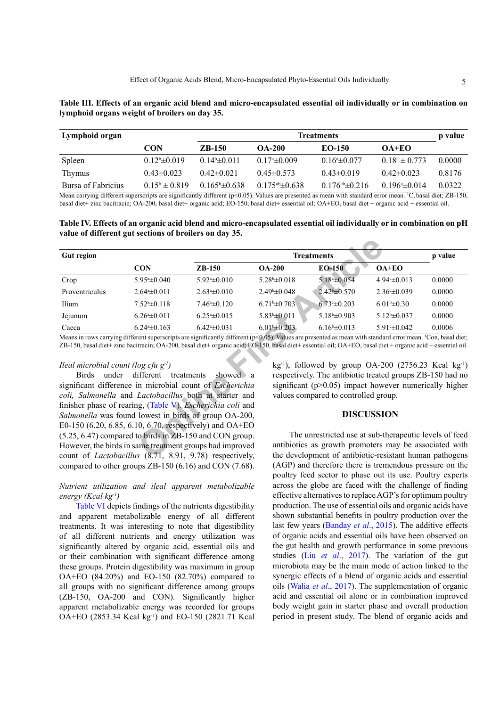<span id="page-4-0"></span>

| Table III. Effects of an organic acid blend and micro-encapsulated essential oil individually or in combination on |  |  |
|--------------------------------------------------------------------------------------------------------------------|--|--|
| lymphoid organs weight of broilers on day 35.                                                                      |  |  |

| Lymphoid organ     |                    | Treatments                |                          |                                 |                    |        |
|--------------------|--------------------|---------------------------|--------------------------|---------------------------------|--------------------|--------|
|                    | CON                | <b>ZB-150</b>             | <b>OA-200</b>            | EQ-150                          | $OA+EO$            |        |
| Spleen             | $0.12^b \pm 0.019$ | $0.14b\pm 0.011$          | $0.17^{\circ}$ = 0.009   | $0.16^{\circ}$ = 0.077          | $0.18^a \pm 0.773$ | 0.0000 |
| <b>Thymus</b>      | $0.43\pm0.023$     | $0.42\pm 0.021$           | $0.45\pm0.573$           | $0.43 \pm 0.019$                | $0.42\pm0.023$     | 0.8176 |
| Bursa of Fabricius | $0.15^b \pm 0.819$ | $0.165^{\circ} \pm 0.638$ | $0.175^{ab}$ $\pm 0.638$ | 0.176 <sup>ab</sup> $\pm$ 0.216 | $0.1964 \pm 0.014$ | 0.0322 |

Mean carrying different superscripts are significantly different (p<0.05). Values are presented as mean with standard error mean. <sup>1</sup>C, basal diet; ZB-150, basal diet+ zinc bacitracin; OA-200, basal diet+ organic acid; EO-150, basal diet+ essential oil; OA+EO, basal diet + organic acid + essential oil.

<span id="page-4-1"></span>**Table IV. Effects of an organic acid blend and micro-encapsulated essential oil individually or in combination on pH value of different gut sections of broilers on day 35.**

| <b>Gut region</b>                                              |                                  | <b>Treatments</b>                                                                                                                                                                              |                          |                                                                                                                                                                             |                         | p value |
|----------------------------------------------------------------|----------------------------------|------------------------------------------------------------------------------------------------------------------------------------------------------------------------------------------------|--------------------------|-----------------------------------------------------------------------------------------------------------------------------------------------------------------------------|-------------------------|---------|
|                                                                | <b>CON</b>                       | $ZB-150$                                                                                                                                                                                       | <b>OA-200</b>            | <b>EO-150</b>                                                                                                                                                               | $OA+EO$                 |         |
| Crop                                                           | $5.95*+0.040$                    | $5.92*+0.010$                                                                                                                                                                                  | $5.28^{\rm b}\pm0.018$   | $5.18^{\circ} \pm 0.054$                                                                                                                                                    | 4.94 $\pm$ 0.013        | 0.0000  |
| Proventriculus                                                 | $2.64*+0.011$                    | $2.63*+0.010$                                                                                                                                                                                  | $2.49^{\circ} \pm 0.048$ | $2.42^b \pm 0.570$                                                                                                                                                          | $2.36 \pm 0.039$        | 0.0000  |
| Ilium                                                          | $7.524 \pm 0.118$                | $7.46^{\mathrm{a}}\pm 0.120$                                                                                                                                                                   | $6.71b\pm 0.703$         | $6.73 \pm 0.203$                                                                                                                                                            | $6.01^{\rm b} \pm 0.30$ | 0.0000  |
| Jejunum                                                        | $6.264 \pm 0.011$                | $6.254 \pm 0.015$                                                                                                                                                                              | $5.83^b \pm 0.011$       | $5.18b\pm 0.903$                                                                                                                                                            | $5.12^b \pm 0.037$      | 0.0000  |
| Caeca                                                          | $6.244 \pm 0.163$                | $6.424 \pm 0.031$                                                                                                                                                                              | $6.01b\pm 0.203$         | $6.16^{\rm b}\pm0.013$                                                                                                                                                      | $5.91 \pm 0.042$        | 0.0006  |
| Ileal microbial count (log cfu $g1$ )                          | Birds under different treatments | ZB-150, basal diet+ zinc bacitracin; OA-200, basal diet+ organic acid; EO-150, basal diet+ essential oil; OA+EO, basal diet+ organic acid + essential oil.<br>showed $\alpha$                  |                          | $kg^{-1}$ ), followed by group OA-200 (2756.23 Kcal $kg^{-1}$ )<br>respectively. The antibiotic treated groups ZB-150 had no                                                |                         |         |
|                                                                |                                  | significant difference in microbial count of <i>Escherichia</i><br>coli, Salmonella and Lactobacillus both at starter and<br>finisher phase of rearing, (Table V). <i>Escherichia coli</i> and |                          | significant ( $p > 0.05$ ) impact however numerically higher<br>values compared to controlled group.                                                                        |                         |         |
|                                                                |                                  | Salmonella was found lowest in birds of group OA-200,<br>E0-150 (6.20, 6.85, 6.10, 6.70, respectively) and OA+EO                                                                               |                          |                                                                                                                                                                             | <b>DISCUSSION</b>       |         |
| count of <i>Lactobacillus</i> (8.71, 8.91, 9.78) respectively, |                                  | (5.25, 6.47) compared to birds in ZB-150 and CON group.<br>However, the birds in same treatment groups had improved                                                                            |                          | The unrestricted use at sub-therapeutic levels of feed<br>antibiotics as growth promoters may be associated with<br>the development of antibiotic-resistant human pathogens |                         |         |

# *Ileal microbial count (log cfu g-1)*

Birds under different treatments showed a significant difference in microbial count of *Escherichia coli, Salmonella* and *Lactobacillus* both at starter and finisher phase of rearing, (Table V). *Escherichia coli* and *Salmonella* was found lowest in birds of group OA-200, E0-150 (6.20, 6.85, 6.10, 6.70, respectively) and OA+EO (5.25, 6.47) compared to birds in ZB-150 and CON group. However, the birds in same treatment groups had improved count of *Lactobacillus* (8.71, 8.91, 9.78) respectively, compared to other groups ZB-150 (6.16) and CON (7.68).

# *Nutrient utilization and ileal apparent metabolizable energy (Kcal kg-1)*

[Table VI](#page-5-1) depicts findings of the nutrients digestibility and apparent metabolizable energy of all different treatments. It was interesting to note that digestibility of all different nutrients and energy utilization was significantly altered by organic acid, essential oils and or their combination with significant difference among these groups. Protein digestibility was maximum in group OA+EO (84.20%) and EO-150 (82.70%) compared to all groups with no significant difference among groups (ZB-150, OA-200 and CON). Significantly higher apparent metabolizable energy was recorded for groups OA+EO (2853.34 Kcal kg-1) and EO-150 (2821.71 Kcal

## **DISCUSSION**

The unrestricted use at sub-therapeutic levels of feed antibiotics as growth promoters may be associated with the development of antibiotic-resistant human pathogens (AGP) and therefore there is tremendous pressure on the poultry feed sector to phase out its use. Poultry experts across the globe are faced with the challenge of finding effective alternatives to replace AGP's for optimum poultry production. The use of essential oils and organic acids have shown substantial benefits in poultry production over the last few years ([Banday](#page-6-6) *et al*., 2015). The additive effects of organic acids and essential oils have been observed on the gut health and growth performance in some previous studies (Liu *et al*[., 2017](#page-7-16)). The variation of the gut microbiota may be the main mode of action linked to the synergic effects of a blend of organic acids and essential oils (Walia *et al*., 2017). The supplementation of organic acid and essential oil alone or in combination improved body weight gain in starter phase and overall production period in present study. The blend of organic acids and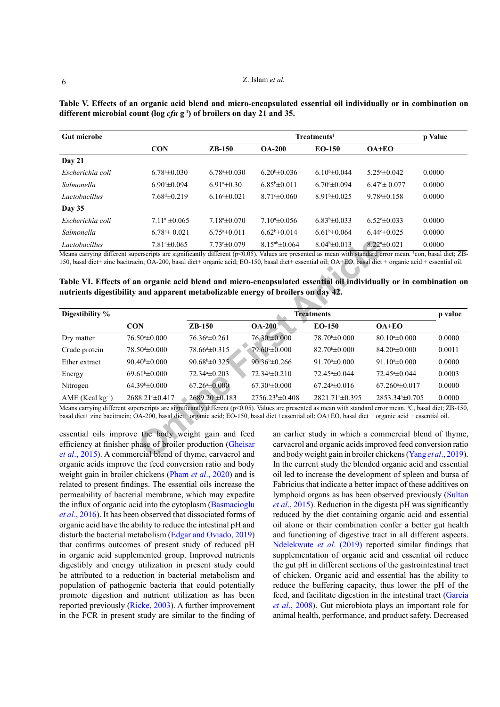| <b>Gut microbe</b> |                            | Treatments <sup>1</sup>                 |                        |                        |                   | p Value |
|--------------------|----------------------------|-----------------------------------------|------------------------|------------------------|-------------------|---------|
|                    | <b>CON</b>                 | $ZB-150$                                | $OA-200$               | $EO-150$               | $OA+EO$           |         |
| Day $21$           |                            |                                         |                        |                        |                   |         |
| Escherichia coli   | $6.78^{\circ}$ $\pm 0.030$ | $6.78^{\circ}$ $\pm 0.030$              | $6.20\pm 0.036$        | $6.10^{b} \pm 0.044$   | $5.25 \pm 0.042$  | 0.0000  |
| Salmonella         | $6.90^{\circ}$ $\pm 0.094$ | $6.91^{\mathrm{a}} + 0.30^{\mathrm{c}}$ | $6.85^{\rm b}\pm0.011$ | $6.70^{\circ}$ ± 0.094 | $6.47 \pm 0.077$  | 0.0000  |
| Lactobacillus      | $7.68 \pm 0.219$           | $6.164 \pm 0.021$                       | $8.71 \pm 0.060$       | $8.91b\pm 0.025$       | $9.784 \pm 0.158$ | 0.0000  |
| <b>Day 35</b>      |                            |                                         |                        |                        |                   |         |
| Escherichia coli   | $7.11^a \pm 0.065$         | $7.18^{\circ}$ $\pm 0.070$              | $710a \pm 0.056$       | $6.83b\pm 0.033$       | $6.52 \pm 0.033$  | 0.0000  |
| Salmonella         | $6.784 \pm 0.021$          | $6.75^{\circ}$ $\pm 0.011$              | $6.62^b \pm 0.014$     | $6.61b\pm 0.064$       | $6.44 \pm 0.025$  | 0.0000  |
| Lactobacillus      | $7.81 \pm 0.065$           | $7.73 \pm 0.079$                        | $8.15^{ab} \pm 0.064$  | $8.04b\pm 0.013$       | $8.224 \pm 0.021$ | 0.0000  |

<span id="page-5-0"></span>**Table V. Effects of an organic acid blend and micro-encapsulated essential oil individually or in combination on different microbial count (log** *cfu* **g-1) of broilers on day 21 and 35.**

<span id="page-5-1"></span>**Table VI. Effects of an organic acid blend and micro-encapsulated essential oil individually or in combination on nutrients digestibility and apparent metabolizable energy of broilers on day 42.**

| Lactobacillus     | $7.81 \pm 0.065$               | $7.73 \pm 0.079$                                                                 | $8.15^{ab} \pm 0.064$       | $8.04b\pm 0.013$              | $8.224 \pm 0.021$                                                                                                                                                        | 0.0000  |
|-------------------|--------------------------------|----------------------------------------------------------------------------------|-----------------------------|-------------------------------|--------------------------------------------------------------------------------------------------------------------------------------------------------------------------|---------|
|                   |                                |                                                                                  |                             |                               | Means carrying different superscripts are significantly different (p<0.05). Values are presented as mean with standard error mean. 'con, basal diet; ZB-                 |         |
|                   |                                |                                                                                  |                             |                               | 150, basal diet+ zinc bacitracin; OA-200, basal diet+ organic acid; EO-150, basal diet+ essential oil; OA+EO, basal diet + organic acid + essential oil.                 |         |
|                   |                                |                                                                                  |                             |                               |                                                                                                                                                                          |         |
|                   |                                |                                                                                  |                             |                               | Table VI. Effects of an organic acid blend and micro-encapsulated essential oil individually or in combination on                                                        |         |
|                   |                                | nutrients digestibility and apparent metabolizable energy of broilers on day 42. |                             |                               |                                                                                                                                                                          |         |
|                   |                                |                                                                                  |                             |                               |                                                                                                                                                                          |         |
| Digestibility %   |                                |                                                                                  |                             | <b>Treatments</b>             |                                                                                                                                                                          | p value |
|                   | <b>CON</b>                     | $ZB-150$                                                                         | <b>OA-200</b>               | <b>EO-150</b>                 | $OA+EO$                                                                                                                                                                  |         |
| Dry matter        | $76.50 \pm 0.000$              | $76.36^{\circ} \pm 0.261$                                                        | 76.30°±0.000                | $78.70^{\circ} \pm 0.000$     | $80.10^{\circ}$ ± 0.000                                                                                                                                                  | 0.0000  |
| Crude protein     | $78.504 \pm 0.000$             | $78.664 \pm 0.315$                                                               | $79.60 \pm 0.000$           | $82.70^{\circ} \pm 0.000$     | $84.20^{\circ} \pm 0.000$                                                                                                                                                | 0.0011  |
| Ether extract     | 90.40 <sup>b</sup> $\pm$ 0.000 | $90.68^{\rm b} \pm 0.325$                                                        | $90.36^{\rm b} \pm 0.266$   | $91.70^{\circ}$ ±0.000        | 91.10 <sup>a</sup> $\pm$ 0.000                                                                                                                                           | 0.0000  |
| Energy            | $69.61^{\mathrm{b}}\pm0.000$   | 72.34 <sup>a</sup> ±0.203                                                        | $72.34*+0.210$              | $72.45^{\mathrm{a}}\pm 0.044$ | 72.45 <sup>a</sup> ±0.044                                                                                                                                                | 0.0003  |
| Nitrogen          | $64.39^{\circ} \pm 0.000$      | $67.26^{\circ} \pm 0.000$                                                        | $67.30* \pm 0.000$          | $67.244 \pm 0.016$            | $67.260* \pm 0.017$                                                                                                                                                      | 0.0000  |
| $AME (Kcal kg-1)$ | $2688.21^{\circ} \pm 0.417$    | 2689.20 ± 0.183                                                                  | $2756.23^{\circ} \pm 0.408$ | 2821.71 <sup>a</sup> ±0.395   | 2853.34 <sup>a</sup> ±0.705                                                                                                                                              | 0.0000  |
|                   |                                |                                                                                  |                             |                               | Means carrying different superscripts are significantly different $(p<0.05)$ . Values are presented as mean with standard error mean. <sup>1</sup> C, basal diet; ZB-150 |         |
|                   |                                |                                                                                  |                             |                               | basal diet+ zinc bacitracin; OA-200, basal diet+ organic acid; EO-150, basal diet + essential oil; OA+EO, basal diet + organic acid + essential oil.                     |         |
|                   |                                | essential oils improve the body weight gain and feed                             |                             |                               | an earlier study in which a commercial blend of thyme.                                                                                                                   |         |
|                   |                                | efficiency at finisher phase of broiler production (Gheisar                      |                             |                               | carvacrol and organic acids improved feed conversion ratio                                                                                                               |         |
|                   |                                | et al., 2015). A commercial blend of thyme, carvacrol and                        |                             |                               | and body weight gain in broiler chickens (Yang et al., 2019).                                                                                                            |         |
|                   |                                |                                                                                  |                             |                               |                                                                                                                                                                          |         |

essential oils improve the body weight gain and feed efficiency at finisher phase of broiler production (Gheisar *et al*[., 2015](#page-6-7)). A commercial blend of thyme, carvacrol and organic acids improve the feed conversion ratio and body weight gain in broiler chickens (Pham *et al*[., 2020](#page-7-17)) and is related to present findings. The essential oils increase the permeability of bacterial membrane, which may expedite the influx of organic acid into the cytoplasm ([Basmacioglu](#page-6-8) *et al*[., 2016\)](#page-6-8). It has been observed that dissociated forms of organic acid have the ability to reduce the intestinal pH and disturb the bacterial metabolism ([Edgar and Oviado, 2019](#page-6-9)) that confirms outcomes of present study of reduced pH in organic acid supplemented group. Improved nutrients digestibly and energy utilization in present study could be attributed to a reduction in bacterial metabolism and population of pathogenic bacteria that could potentially promote digestion and nutrient utilization as has been reported previously ([Ricke, 2003](#page-7-18)). A further improvement in the FCR in present study are similar to the finding of

an earlier study in which a commercial blend of thyme, carvacrol and organic acids improved feed conversion ratio and body weight gain in broiler chickens (Yang *et al*., 2019). In the current study the blended organic acid and essential oil led to increase the development of spleen and bursa of Fabricius that indicate a better impact of these additives on lymphoid organs as has been observed previously [\(Sultan](#page-8-9)  *et al*[., 2015](#page-8-9)). Reduction in the digesta pH was significantly reduced by the diet containing organic acid and essential oil alone or their combination confer a better gut health and functioning of digestive tract in all different aspects. [Ndelekwute](#page-7-14) *et al*. (2019) reported similar findings that supplementation of organic acid and essential oil reduce the gut pH in different sections of the gastrointestinal tract of chicken. Organic acid and essential has the ability to reduce the buffering capacity, thus lower the pH of the feed, and facilitate digestion in the intestinal tract [\(Garcia](#page-6-10)  *et al*[., 200](#page-6-10)8). Gut microbiota plays an important role for animal health, performance, and product safety. Decreased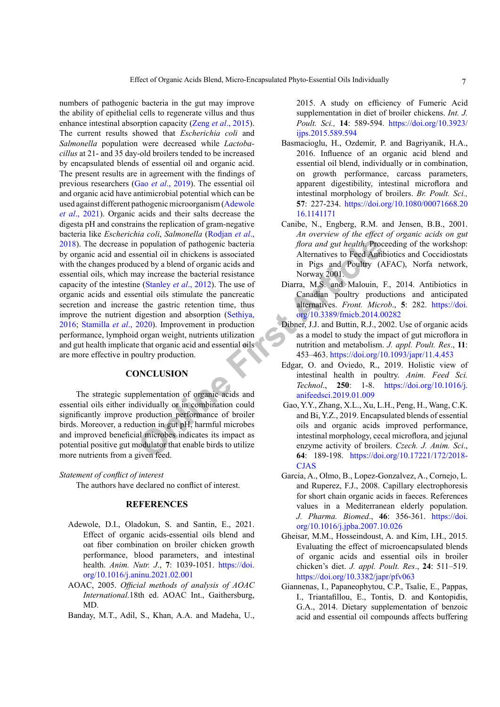**Example 10** and 10 and 20 and 20 and 20 and 20 and 20 and 20 and 20 and 20 and 20 and 20 and 20 and 20 and 20 and 20 and 20 and 20 and 20 and 20 and 20 and 20 and 20 and 20 and 20 and 20 and 20 and 20 and 20 and 20 and 20 numbers of pathogenic bacteria in the gut may improve the ability of epithelial cells to regenerate villus and thus enhance intestinal absorption capacity (Zeng *et al*[., 2015](#page-8-10)). The current results showed that *Escherichia coli* and *Salmonella* population were decreased while *Lactobacillus* at 21- and 35 day-old broilers tended to be increased by encapsulated blends of essential oil and organic acid. The present results are in agreement with the findings of previous researchers (Gao *et al*[., 2019\)](#page-6-4). The essential oil and organic acid have antimicrobial potential which can be used against different pathogenic microorganism [\(Adewole](#page-6-11) *et al*[., 2021\)](#page-6-11). Organic acids and their salts decrease the digesta pH and constrains the replication of gram-negative bacteria like *Escherichia coli*, *Salmonella* ([Rodjan](#page-7-19) *et al*., [2018\)](#page-7-19). The decrease in population of pathogenic bacteria by organic acid and essential oil in chickens is associated with the changes produced by a blend of organic acids and essential oils, which may increase the bacterial resistance capacity of the intestine (Stanley *et al*., 2012). The use of organic acids and essential oils stimulate the pancreatic secretion and increase the gastric retention time, thus improve the nutrient digestion and absorption (Sethiya, [2016;](#page-7-20) [Stamilla](#page-8-11) *et al*., 2020). Improvement in production performance, lymphoid organ weight, nutrients utilization and gut health implicate that organic acid and essential oils are more effective in poultry production.

# **CONCLUSION**

The strategic supplementation of organic acids and essential oils either individually or in combination could significantly improve production performance of broiler birds. Moreover, a reduction in gut pH, harmful microbes and improved beneficial microbes indicates its impact as potential positive gut modulator that enable birds to utilize more nutrients from a given feed.

*Statement of conflict of interest*

The authors have declared no conflict of interest.

# **REFERENCES**

- <span id="page-6-11"></span>Adewole, D.I., Oladokun, S. and Santin, E., 2021. Effect of organic acids-essential oils blend and oat fiber combination on broiler chicken growth performance, blood parameters, and intestinal health. *Anim. Nutr. J*., **7**: 1039-1051. [https://doi.](https://doi.org/10.1016/j.aninu.2021.02.001) [org/10.1016/j.aninu.2021.02.001](https://doi.org/10.1016/j.aninu.2021.02.001)
- <span id="page-6-5"></span>AOAC, 2005. *Official methods of analysis of AOAC International.*18th ed. AOAC Int., Gaithersburg, MD.

<span id="page-6-6"></span>Banday, M.T., Adil, S., Khan, A.A. and Madeha, U.,

2015. A study on efficiency of Fumeric Acid supplementation in diet of broiler chickens. *Int. J. Poult. Sci.,* **14**: 589-594. [https://doi.org/10.3923/](https://doi.org/10.3923/ijps.2015.589.594) [ijps.2015.589.594](https://doi.org/10.3923/ijps.2015.589.594)

- <span id="page-6-8"></span>Basmacioglu, H., Ozdemir, P. and Bagriyanik, H.A., 2016. Influence of an organic acid blend and essential oil blend, individually or in combination, on growth performance, carcass parameters, apparent digestibility, intestinal microflora and intestinal morphology of broilers. *Br. Poult. Sci.,*  **57**: 227-234. [https://doi.org/10.1080/00071668.20](https://doi.org/10.1080/00071668.2016.1141171) [16.1141171](https://doi.org/10.1080/00071668.2016.1141171)
- <span id="page-6-3"></span>Canibe, N., Engberg, R.M. and Jensen, B.B., 2001. *An overview of the effect of organic acids on gut flora and gut health*. Proceeding of the workshop: Alternatives to Feed Antibiotics and Coccidiostats in Pigs and Poultry (AFAC), Norfa network, Norway 2001.
- <span id="page-6-0"></span>Diarra, M.S. and Malouin, F., 2014. Antibiotics in Canadian poultry productions and anticipated alternatives. *Front. Microb*., **5**: 282. [https://doi.](https://doi.org/10.3389/fmicb.2014.00282) org/10.3389/fmicb.2014.00282
- <span id="page-6-2"></span>Dibner, J.J. and Buttin, R.J., 2002. Use of organic acids as a model to study the impact of gut microflora in nutrition and metabolism. *J. appl. Poult. Res*., **11**: 453–463.<https://doi.org/10.1093/japr/11.4.453>
- <span id="page-6-9"></span>Edgar, O. and Oviedo, R., 2019. Holistic view of intestinal health in poultry. *Anim. Feed Sci. Technol*., **250**: 1-8. [https://doi.org/10.1016/j.](https://doi.org/10.1016/j.anifeedsci.2019.01.009) anifeedsci.2019.01.009
- <span id="page-6-4"></span> Gao, Y.Y., Zhang, X.L., Xu, L.H., Peng, H., Wang, C.K. and Bi, Y.Z., 2019. Encapsulated blends of essential oils and organic acids improved performance, intestinal morphology, cecal microflora, and jejunal enzyme activity of broilers. *Czech. J. Anim. Sci*., **64**: 189-198. [https://doi.org/10.17221/172/2018-](https://doi.org/10.17221/172/2018-CJAS) [CJAS](https://doi.org/10.17221/172/2018-CJAS)
- <span id="page-6-10"></span>Garcia, A., Olmo, B., Lopez-Gonzalvez, A., Cornejo, L. and Ruperez, F.J., 2008. Capillary electrophoresis for short chain organic acids in faeces. References values in a Mediterranean elderly population. *J. Pharma. Biomed*., **46**: 356-361. [https://doi.](https://doi.org/10.1016/j.jpba.2007.10.026) [org/10.1016/j.jpba.2007.10.026](https://doi.org/10.1016/j.jpba.2007.10.026)
- <span id="page-6-7"></span>Gheisar, M.M., Hosseindoust, A. and Kim, I.H., 2015. Evaluating the effect of microencapsulated blends of organic acids and essential oils in broiler chicken's diet. *J. appl. Poult. Res*., **24**: 511–519. <https://doi.org/10.3382/japr/pfv063>
- <span id="page-6-1"></span>Giannenas, I., Papaneophytou, C.P., Tsalie, E., Pappas, I., Triantafillou, E., Tontis, D. and Kontopidis, G.A., 2014. Dietary supplementation of benzoic acid and essential oil compounds affects buffering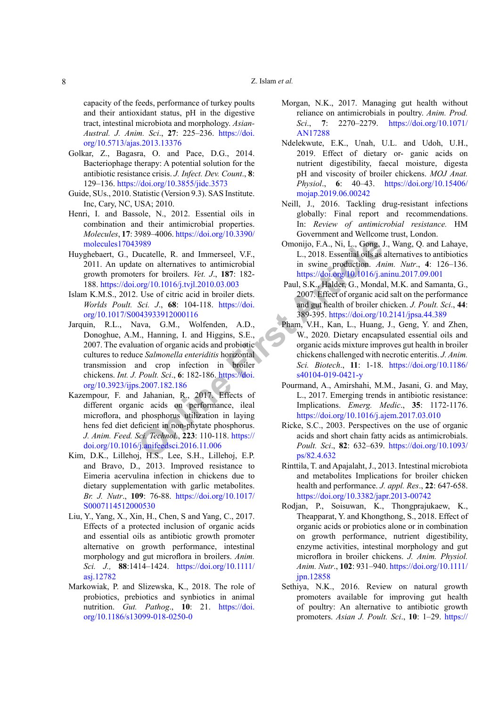capacity of the feeds, performance of turkey poults and their antioxidant status, pH in the digestive tract, intestinal microbiota and morphology. *Asian-Austral. J. Anim. Sci*., **27**: 225–236. [https://doi.](https://doi.org/10.5713/ajas.2013.13376) [org/10.5713/ajas.2013.13376](https://doi.org/10.5713/ajas.2013.13376)

- <span id="page-7-2"></span>Golkar, Z., Bagasra, O. and Pace, D.G., 2014. Bacteriophage therapy: A potential solution for the antibiotic resistance crisis. *J. Infect. Dev. Count*., **8**: 129–136. <https://doi.org/10.3855/jidc.3573>
- <span id="page-7-15"></span>Guide, SUs., 2010. Statistic (Version 9.3). SAS Institute. Inc, Cary, NC, USA; 2010.
- <span id="page-7-7"></span>Henri, I. and Bassole, N., 2012. Essential oils in combination and their antimicrobial properties. *Molecules*, **17**: 3989–4006. [https://doi.org/10.3390/](https://doi.org/10.3390/molecules17043989) [molecules17043989](https://doi.org/10.3390/molecules17043989)
- <span id="page-7-5"></span>Huyghebaert, G., Ducatelle, R. and Immerseel, V.F., 2011. An update on alternatives to antimicrobial growth promoters for broilers. *Vet. J*., **187**: 182- 188. <https://doi.org/10.1016/j.tvjl.2010.03.003>
- <span id="page-7-11"></span><span id="page-7-10"></span>Islam K.M.S., 2012. Use of citric acid in broiler diets. *Worlds Poult. Sci. J*., **68**: 104-118. https://doi. [org/10.1017/S0043933912000116](https://doi.org/10.1017/S0043933912000116)
- **Same Solution**<br> **Same Solution**<br> **Onlin** Same State on alternatives to antienties V.F.,<br>
L., 2018. Essential oils as<br>
the on alternatives to antienties in swine production. *An*<br>
org/10.1016/j.tvj1.2010.03.003<br>
Paul, S.K. Jarquin, R.L., Nava, G.M., Wolfenden, A.D., Donoghue, A.M., Hanning, I. and Higgins, S.E., 2007. The evaluation of organic acids and probiotic cultures to reduce *Salmonella enteriditis* horizontal transmission and crop infection in broiler chickens. *Int. J. Poult. Sci*., **6**: 182-186. https://doi. [org/10.3923/ijps.2007.182.186](https://doi.org/10.3923/ijps.2007.182.186)
- <span id="page-7-9"></span>Kazempour, F. and Jahanian, R., 2017. Effects of different organic acids on performance, ileal microflora, and phosphorus utilization in laying hens fed diet deficient in non-phytate phosphorus. *J. Anim. Feed. Sci. Technol*., **223**: 110-118. https:// [doi.org/10.1016/j.anifeedsci.2016.11.006](https://doi.org/10.1016/j.anifeedsci.2016.11.006)
- <span id="page-7-8"></span>Kim, D.K., Lillehoj, H.S., Lee, S.H., Lillehoj, E.P. and Bravo, D., 2013. Improved resistance to Eimeria acervulina infection in chickens due to dietary supplementation with garlic metabolites. *Br. J. Nutr*., **109**: 76-88. [https://doi.org/10.1017/](https://doi.org/10.1017/S0007114512000530) [S0007114512000530](https://doi.org/10.1017/S0007114512000530)
- <span id="page-7-16"></span>Liu, Y., Yang, X., Xin, H., Chen, S and Yang, C., 2017. Effects of a protected inclusion of organic acids and essential oils as antibiotic growth promoter alternative on growth performance, intestinal morphology and gut microflora in broilers. *Anim. Sci. J.,* **88**:1414–1424. [https://doi.org/10.1111/](https://doi.org/10.1111/asj.12782) [asj.12782](https://doi.org/10.1111/asj.12782)
- <span id="page-7-6"></span>Markowiak, P. and Slizewska, K., 2018. The role of probiotics, prebiotics and synbiotics in animal nutrition. *Gut. Pathog*., **10**: 21. [https://doi.](https://doi.org/10.1186/s13099-018-0250-0) [org/10.1186/s13099-018-0250-0](https://doi.org/10.1186/s13099-018-0250-0)
- <span id="page-7-1"></span>Morgan, N.K., 2017. Managing gut health without reliance on antimicrobials in poultry. *Anim. Prod. Sci*., **7**: 2270–2279. [https://doi.org/10.1071/](https://doi.org/10.1071/AN17288) [AN17288](https://doi.org/10.1071/AN17288)
- <span id="page-7-14"></span>Ndelekwute, E.K., Unah, U.L. and Udoh, U.H., 2019. Effect of dietary or- ganic acids on nutrient digestibility, faecal moisture, digesta pH and viscosity of broiler chickens. *MOJ Anat. Physiol*., **6**: 40–43. [https://doi.org/10.15406/](https://doi.org/10.15406/mojap.2019.06.00242) [mojap.2019.06.00242](https://doi.org/10.15406/mojap.2019.06.00242)
- <span id="page-7-4"></span>Neill, J., 2016. Tackling drug-resistant infections globally: Final report and recommendations. In: *Review of antimicrobial resistance.* HM Government and Wellcome trust, London.
- <span id="page-7-13"></span>Omonijo, F.A., Ni, L., Gong, J., Wang, Q. and Lahaye, L., 2018. Essential oils as alternatives to antibiotics in swine production. *Anim. Nutr*., **4**: 126–136. <https://doi.org/10.1016/j.aninu.2017.09.001>
- <span id="page-7-12"></span> Paul, S.K., Halder, G., Mondal, M.K. and Samanta, G., 2007. Effect of organic acid salt on the performance and gut health of broiler chicken. *J. Poult. Sci*., **44**: 389-395. <https://doi.org/10.2141/jpsa.44.389>
- <span id="page-7-17"></span>Pham, V.H., Kan, L., Huang, J., Geng, Y. and Zhen, W., 2020. Dietary encapsulated essential oils and organic acids mixture improves gut health in broiler chickens challenged with necrotic enteritis. *J. Anim. Sci. Biotech*., **11**: 1-18. [https://doi.org/10.1186/](https://doi.org/10.1186/s40104-019-0421-y) s40104-019-0421-y
- <span id="page-7-3"></span>Pourmand, A., Amirshahi, M.M., Jasani, G. and May, L., 2017. Emerging trends in antibiotic resistance: Implications. *Emerg. Medic*., **35**: 1172-1176. <https://doi.org/10.1016/j.ajem.2017.03.010>
- <span id="page-7-18"></span>Ricke, S.C., 2003. Perspectives on the use of organic acids and short chain fatty acids as antimicrobials. *Poult. Sci*., **82**: 632–639. [https://doi.org/10.1093/](https://doi.org/10.1093/ps/82.4.632) ps/82.4.632
- <span id="page-7-0"></span>Rinttila, T. and Apajalaht, J., 2013. Intestinal microbiota and metabolites Implications for broiler chicken health and performance. *J. appl. Res*., **22**: 647-658. <https://doi.org/10.3382/japr.2013-00742>
- <span id="page-7-19"></span>Rodjan, P., Soisuwan, K., Thongprajukaew, K., Theapparat, Y. and Khongthong, S., 2018. Effect of organic acids or probiotics alone or in combination on growth performance, nutrient digestibility, enzyme activities, intestinal morphology and gut microflora in broiler chickens. *J. Anim. Physiol. Anim. Nutr*., **102**: 931–940. [https://doi.org/10.1111/](https://doi.org/10.1111/jpn.12858) [jpn.12858](https://doi.org/10.1111/jpn.12858)
- <span id="page-7-20"></span>Sethiya, N.K., 2016. Review on natural growth promoters available for improving gut health of poultry: An alternative to antibiotic growth promoters. *Asian J. Poult. Sci*., **10**: 1–29. [https://](https://doi.org/10.3923/ajpsaj.2016.1.29)